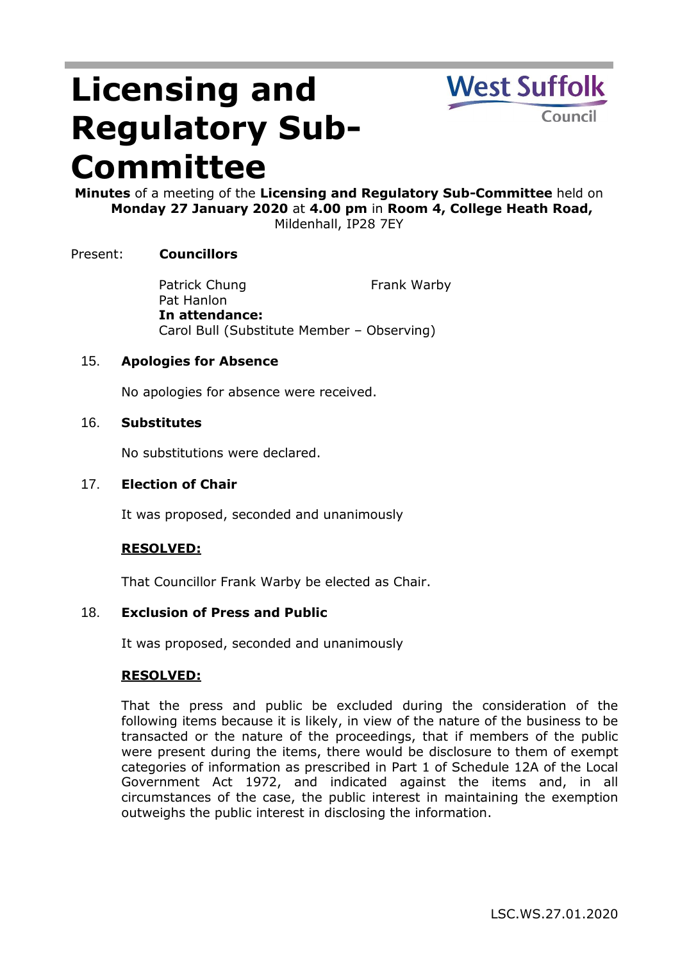# **Licensing and Regulatory Sub-Committee**



**Minutes** of a meeting of the **Licensing and Regulatory Sub-Committee** held on **Monday 27 January 2020** at **4.00 pm** in **Room 4, College Heath Road,**  Mildenhall, IP28 7EY

# Present: **Councillors**

Patrick Chung Pat Hanlon Frank Warby **In attendance:** Carol Bull (Substitute Member – Observing)

## 15. **Apologies for Absence**

No apologies for absence were received.

### 16. **Substitutes**

No substitutions were declared.

#### 17. **Election of Chair**

It was proposed, seconded and unanimously

## **RESOLVED:**

That Councillor Frank Warby be elected as Chair.

#### 18. **Exclusion of Press and Public**

It was proposed, seconded and unanimously

#### **RESOLVED:**

That the press and public be excluded during the consideration of the following items because it is likely, in view of the nature of the business to be transacted or the nature of the proceedings, that if members of the public were present during the items, there would be disclosure to them of exempt categories of information as prescribed in Part 1 of Schedule 12A of the Local Government Act 1972, and indicated against the items and, in all circumstances of the case, the public interest in maintaining the exemption outweighs the public interest in disclosing the information.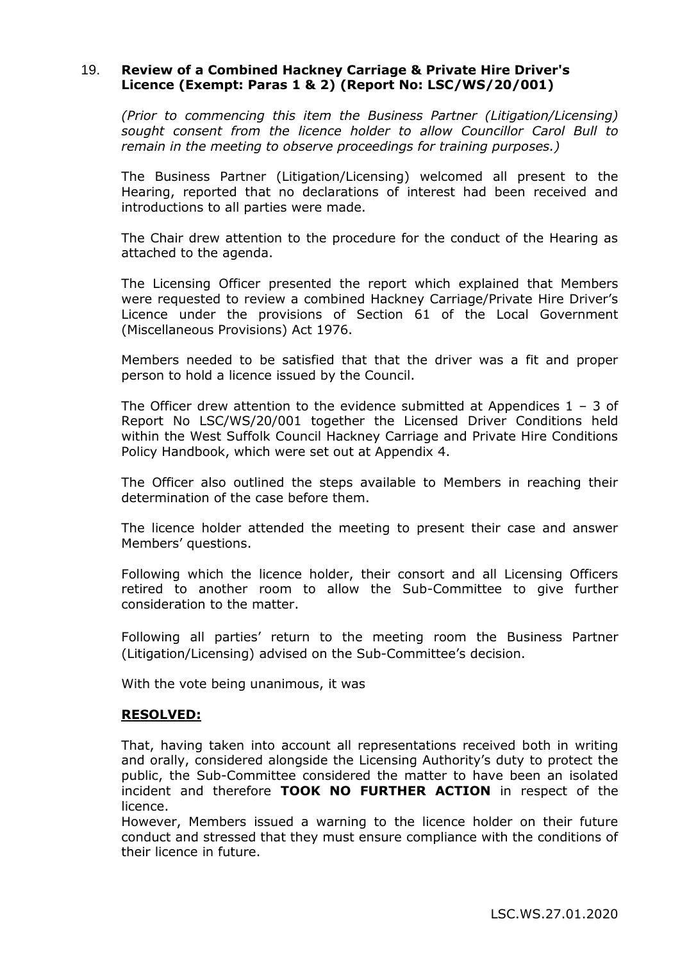### 19. **Review of a Combined Hackney Carriage & Private Hire Driver's Licence (Exempt: Paras 1 & 2) (Report No: LSC/WS/20/001)**

*(Prior to commencing this item the Business Partner (Litigation/Licensing) sought consent from the licence holder to allow Councillor Carol Bull to remain in the meeting to observe proceedings for training purposes.)*

The Business Partner (Litigation/Licensing) welcomed all present to the Hearing, reported that no declarations of interest had been received and introductions to all parties were made.

The Chair drew attention to the procedure for the conduct of the Hearing as attached to the agenda.

The Licensing Officer presented the report which explained that Members were requested to review a combined Hackney Carriage/Private Hire Driver's Licence under the provisions of Section 61 of the Local Government (Miscellaneous Provisions) Act 1976.

Members needed to be satisfied that that the driver was a fit and proper person to hold a licence issued by the Council.

The Officer drew attention to the evidence submitted at Appendices  $1 - 3$  of Report No LSC/WS/20/001 together the Licensed Driver Conditions held within the West Suffolk Council Hackney Carriage and Private Hire Conditions Policy Handbook, which were set out at Appendix 4.

The Officer also outlined the steps available to Members in reaching their determination of the case before them.

The licence holder attended the meeting to present their case and answer Members' questions.

Following which the licence holder, their consort and all Licensing Officers retired to another room to allow the Sub-Committee to give further consideration to the matter.

Following all parties' return to the meeting room the Business Partner (Litigation/Licensing) advised on the Sub-Committee's decision.

With the vote being unanimous, it was

## **RESOLVED:**

That, having taken into account all representations received both in writing and orally, considered alongside the Licensing Authority's duty to protect the public, the Sub-Committee considered the matter to have been an isolated incident and therefore **TOOK NO FURTHER ACTION** in respect of the licence.

However, Members issued a warning to the licence holder on their future conduct and stressed that they must ensure compliance with the conditions of their licence in future.